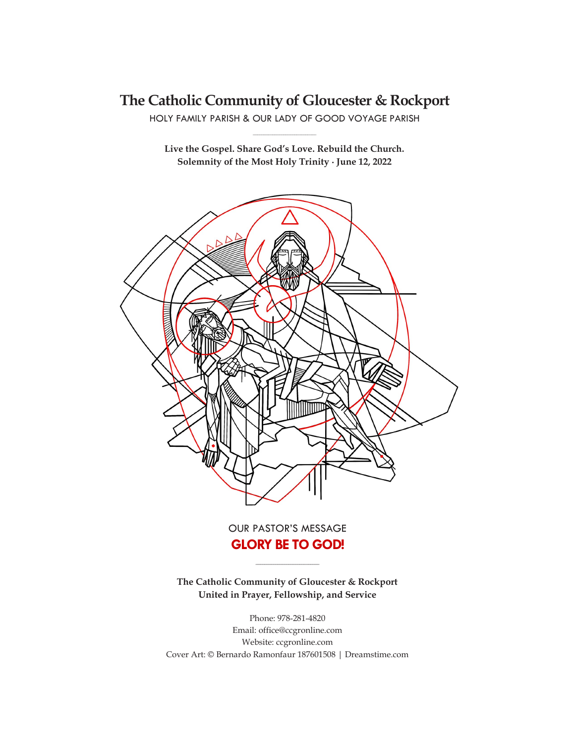# **The Catholic Community of Gloucester & Rockport**

HOLY FAMILY PARISH & OUR LADY OF GOOD VOYAGE PARISH **\_\_\_\_\_\_\_\_\_\_\_\_\_\_\_\_\_\_\_\_\_\_\_\_\_\_\_\_\_**

**Live the Gospel. Share God's Love. Rebuild the Church. Solemnity of the Most Holy Trinity ∙ June 12, 2022**



OUR PASTOR'S MESSAGE **GLORY BE TO GOD!**

**The Catholic Community of Gloucester & Rockport United in Prayer, Fellowship, and Service**

**\_\_\_\_\_\_\_\_\_\_\_\_\_\_\_\_\_\_\_\_\_\_\_\_\_\_\_\_\_**

Phone: 978-281-4820 Email: office@ccgronline.com Website: ccgronline.com Cover Art: © Bernardo Ramonfaur 187601508 | Dreamstime.com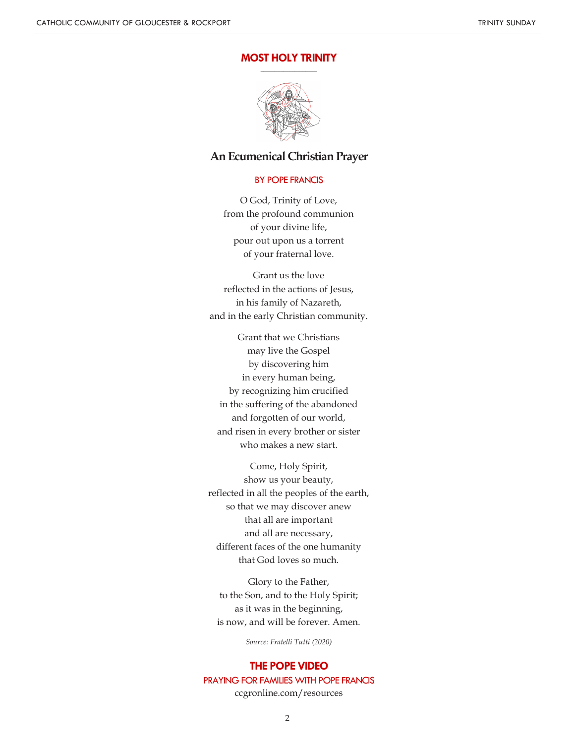#### **MOST HOLY TRINITY \_\_\_\_\_\_\_\_\_\_\_\_\_\_\_\_\_\_\_\_**



## **An Ecumenical Christian Prayer**

### BY POPE FRANCIS

O God, Trinity of Love, from the profound communion of your divine life, pour out upon us a torrent of your fraternal love.

Grant us the love reflected in the actions of Jesus, in his family of Nazareth, and in the early Christian community.

Grant that we Christians may live the Gospel by discovering him in every human being, by recognizing him crucified in the suffering of the abandoned and forgotten of our world, and risen in every brother or sister who makes a new start.

Come, Holy Spirit, show us your beauty, reflected in all the peoples of the earth, so that we may discover anew that all are important and all are necessary, different faces of the one humanity that God loves so much.

Glory to the Father, to the Son, and to the Holy Spirit; as it was in the beginning, is now, and will be forever. Amen.

*Source: Fratelli Tutti (2020)*

### **THE POPE VIDEO**

### PRAYING FOR FAMILIES WITH POPE FRANCIS

ccgronline.com/resources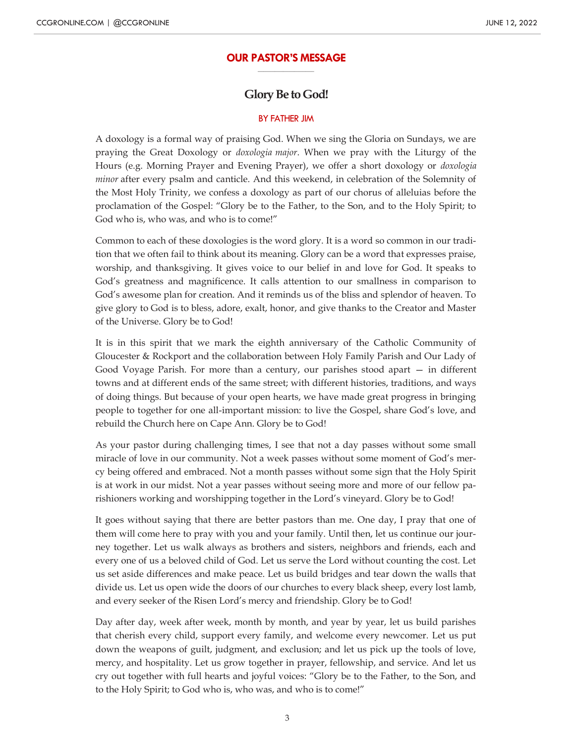#### **OUR PASTOR'S MESSAGE \_\_\_\_\_\_\_\_\_\_\_\_\_\_\_\_\_\_\_\_**

# **Glory Be to God!**

### BY FATHER JIM

A doxology is a formal way of praising God. When we sing the Gloria on Sundays, we are praying the Great Doxology or *doxologia major*. When we pray with the Liturgy of the Hours (e.g. Morning Prayer and Evening Prayer), we offer a short doxology or *doxologia minor* after every psalm and canticle. And this weekend, in celebration of the Solemnity of the Most Holy Trinity, we confess a doxology as part of our chorus of alleluias before the proclamation of the Gospel: "Glory be to the Father, to the Son, and to the Holy Spirit; to God who is, who was, and who is to come!"

Common to each of these doxologies is the word glory. It is a word so common in our tradition that we often fail to think about its meaning. Glory can be a word that expresses praise, worship, and thanksgiving. It gives voice to our belief in and love for God. It speaks to God's greatness and magnificence. It calls attention to our smallness in comparison to God's awesome plan for creation. And it reminds us of the bliss and splendor of heaven. To give glory to God is to bless, adore, exalt, honor, and give thanks to the Creator and Master of the Universe. Glory be to God!

It is in this spirit that we mark the eighth anniversary of the Catholic Community of Gloucester & Rockport and the collaboration between Holy Family Parish and Our Lady of Good Voyage Parish. For more than a century, our parishes stood apart — in different towns and at different ends of the same street; with different histories, traditions, and ways of doing things. But because of your open hearts, we have made great progress in bringing people to together for one all-important mission: to live the Gospel, share God's love, and rebuild the Church here on Cape Ann. Glory be to God!

As your pastor during challenging times, I see that not a day passes without some small miracle of love in our community. Not a week passes without some moment of God's mercy being offered and embraced. Not a month passes without some sign that the Holy Spirit is at work in our midst. Not a year passes without seeing more and more of our fellow parishioners working and worshipping together in the Lord's vineyard. Glory be to God!

It goes without saying that there are better pastors than me. One day, I pray that one of them will come here to pray with you and your family. Until then, let us continue our journey together. Let us walk always as brothers and sisters, neighbors and friends, each and every one of us a beloved child of God. Let us serve the Lord without counting the cost. Let us set aside differences and make peace. Let us build bridges and tear down the walls that divide us. Let us open wide the doors of our churches to every black sheep, every lost lamb, and every seeker of the Risen Lord's mercy and friendship. Glory be to God!

Day after day, week after week, month by month, and year by year, let us build parishes that cherish every child, support every family, and welcome every newcomer. Let us put down the weapons of guilt, judgment, and exclusion; and let us pick up the tools of love, mercy, and hospitality. Let us grow together in prayer, fellowship, and service. And let us cry out together with full hearts and joyful voices: "Glory be to the Father, to the Son, and to the Holy Spirit; to God who is, who was, and who is to come!"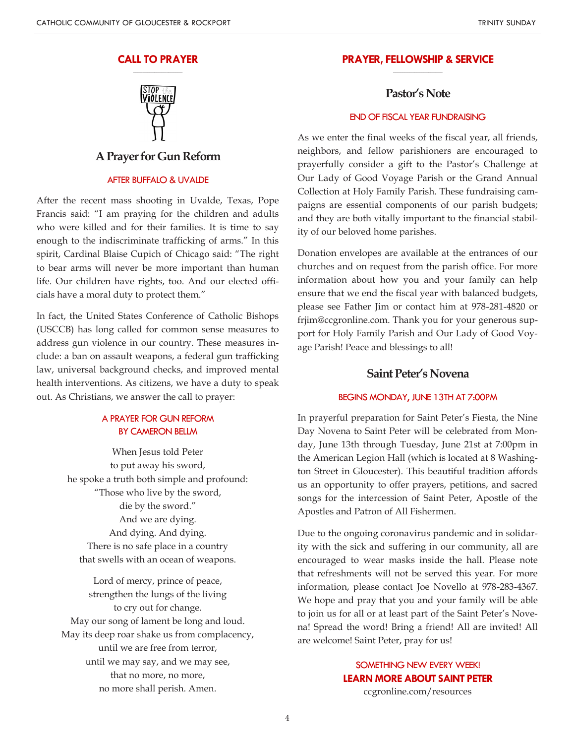#### **CALL TO PRAYER \_\_\_\_\_\_\_\_\_\_\_\_\_\_\_\_\_\_\_\_\_**



# **A Prayer for Gun Reform**

### AFTER BUFFALO & UVALDE

After the recent mass shooting in Uvalde, Texas, Pope Francis said: "I am praying for the children and adults who were killed and for their families. It is time to say enough to the indiscriminate trafficking of arms." In this spirit, Cardinal Blaise Cupich of Chicago said: "The right to bear arms will never be more important than human life. Our children have rights, too. And our elected officials have a moral duty to protect them."

In fact, the United States Conference of Catholic Bishops (USCCB) has long called for common sense measures to address gun violence in our country. These measures include: a ban on assault weapons, a federal gun trafficking law, universal background checks, and improved mental health interventions. As citizens, we have a duty to speak out. As Christians, we answer the call to prayer:

### A PRAYER FOR GUN REFORM BY CAMERON BELLM

When Jesus told Peter to put away his sword, he spoke a truth both simple and profound: "Those who live by the sword, die by the sword." And we are dying. And dying. And dying. There is no safe place in a country that swells with an ocean of weapons.

Lord of mercy, prince of peace, strengthen the lungs of the living to cry out for change. May our song of lament be long and loud. May its deep roar shake us from complacency, until we are free from terror, until we may say, and we may see, that no more, no more, no more shall perish. Amen.

#### **PRAYER, FELLOWSHIP & SERVICE \_\_\_\_\_\_\_\_\_\_\_\_\_\_\_\_\_\_\_\_\_**

# **Pastor's Note**

### END OF FISCAL YEAR FUNDRAISING

As we enter the final weeks of the fiscal year, all friends, neighbors, and fellow parishioners are encouraged to prayerfully consider a gift to the Pastor's Challenge at Our Lady of Good Voyage Parish or the Grand Annual Collection at Holy Family Parish. These fundraising campaigns are essential components of our parish budgets; and they are both vitally important to the financial stability of our beloved home parishes.

Donation envelopes are available at the entrances of our churches and on request from the parish office. For more information about how you and your family can help ensure that we end the fiscal year with balanced budgets, please see Father Jim or contact him at 978-281-4820 or frjim@ccgronline.com. Thank you for your generous support for Holy Family Parish and Our Lady of Good Voyage Parish! Peace and blessings to all!

### **Saint Peter's Novena**

### BEGINS MONDAY, JUNE 13TH AT 7:00PM

In prayerful preparation for Saint Peter's Fiesta, the Nine Day Novena to Saint Peter will be celebrated from Monday, June 13th through Tuesday, June 21st at 7:00pm in the American Legion Hall (which is located at 8 Washington Street in Gloucester). This beautiful tradition affords us an opportunity to offer prayers, petitions, and sacred songs for the intercession of Saint Peter, Apostle of the Apostles and Patron of All Fishermen.

Due to the ongoing coronavirus pandemic and in solidarity with the sick and suffering in our community, all are encouraged to wear masks inside the hall. Please note that refreshments will not be served this year. For more information, please contact Joe Novello at 978-283-4367. We hope and pray that you and your family will be able to join us for all or at least part of the Saint Peter's Novena! Spread the word! Bring a friend! All are invited! All are welcome! Saint Peter, pray for us!

> SOMETHING NEW EVERY WEEK! **LEARN MORE ABOUT SAINT PETER** ccgronline.com/resources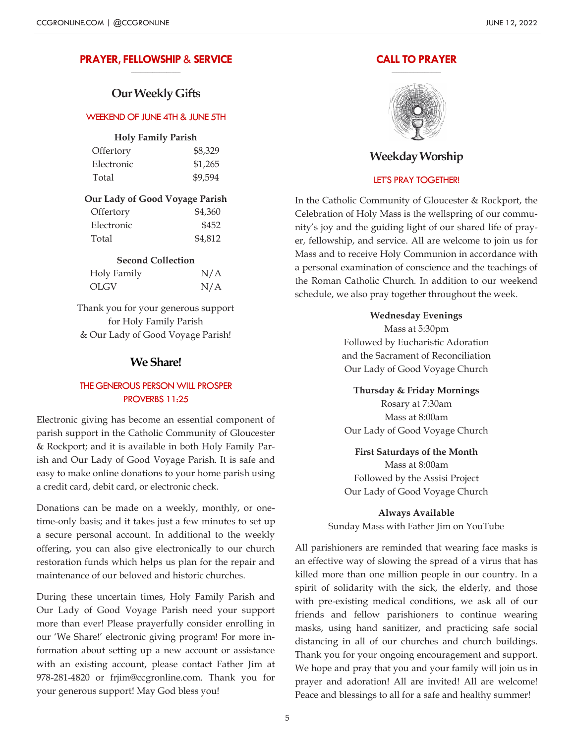#### **PRAYER, FELLOWSHIP** & **SERVICE \_\_\_\_\_\_\_\_\_\_\_\_\_\_\_\_\_\_\_\_\_**

# **Our Weekly Gifts**

### WEEKEND OF JUNE 4TH & JUNE 5TH

### **Holy Family Parish**

| Offertory  | \$8,329 |
|------------|---------|
| Electronic | \$1,265 |
| Total      | \$9,594 |

### **Our Lady of Good Voyage Parish**

| Offertory  | \$4,360 |
|------------|---------|
| Electronic | \$452   |
| Total      | \$4,812 |

### **Second Collection**

| Holy Family | N/A |
|-------------|-----|
| OLGV        | N/A |

Thank you for your generous support for Holy Family Parish & Our Lady of Good Voyage Parish!

# **We Share!**

### THE GENEROUS PERSON WILL PROSPER PROVERBS 11:25

Electronic giving has become an essential component of parish support in the Catholic Community of Gloucester & Rockport; and it is available in both Holy Family Parish and Our Lady of Good Voyage Parish. It is safe and easy to make online donations to your home parish using a credit card, debit card, or electronic check.

Donations can be made on a weekly, monthly, or onetime-only basis; and it takes just a few minutes to set up a secure personal account. In additional to the weekly offering, you can also give electronically to our church restoration funds which helps us plan for the repair and maintenance of our beloved and historic churches.

During these uncertain times, Holy Family Parish and Our Lady of Good Voyage Parish need your support more than ever! Please prayerfully consider enrolling in our 'We Share!' electronic giving program! For more information about setting up a new account or assistance with an existing account, please contact Father Jim at 978-281-4820 or frjim@ccgronline.com. Thank you for your generous support! May God bless you!

#### **CALL TO PRAYER \_\_\_\_\_\_\_\_\_\_\_\_\_\_\_\_\_\_\_\_\_**



# **Weekday Worship**

### LET'S PRAY TOGETHER!

In the Catholic Community of Gloucester & Rockport, the Celebration of Holy Mass is the wellspring of our community's joy and the guiding light of our shared life of prayer, fellowship, and service. All are welcome to join us for Mass and to receive Holy Communion in accordance with a personal examination of conscience and the teachings of the Roman Catholic Church. In addition to our weekend schedule, we also pray together throughout the week.

> **Wednesday Evenings** Mass at 5:30pm Followed by Eucharistic Adoration and the Sacrament of Reconciliation Our Lady of Good Voyage Church

**Thursday & Friday Mornings** Rosary at 7:30am Mass at 8:00am Our Lady of Good Voyage Church

**First Saturdays of the Month** Mass at 8:00am Followed by the Assisi Project Our Lady of Good Voyage Church

**Always Available** Sunday Mass with Father Jim on YouTube

All parishioners are reminded that wearing face masks is an effective way of slowing the spread of a virus that has killed more than one million people in our country. In a spirit of solidarity with the sick, the elderly, and those with pre-existing medical conditions, we ask all of our friends and fellow parishioners to continue wearing masks, using hand sanitizer, and practicing safe social distancing in all of our churches and church buildings. Thank you for your ongoing encouragement and support. We hope and pray that you and your family will join us in prayer and adoration! All are invited! All are welcome! Peace and blessings to all for a safe and healthy summer!